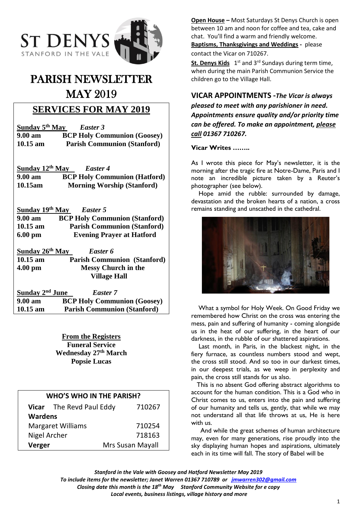

# PARISH NEWSLETTER MAY 2019

# **SERVICES FOR MAY 2019**

| Sunday 5 <sup>th</sup> May | Easter 3                           |
|----------------------------|------------------------------------|
| $9.00 \text{ am}$          | <b>BCP Holy Communion (Goosey)</b> |
| $10.15$ am                 | <b>Parish Communion (Stanford)</b> |

**Sunday 12 th May** *Easter 4* **9.00 am BCP Holy Communion (Hatford) 10.15am Morning Worship (Stanford)**

**Sunday 19th May** *Easter 5* **9.00 am BCP Holy Communion (Stanford) 10.15 am Parish Communion (Stanford) 6.00 pm Evening Prayer at Hatford**

**Sunday 26 th May** *Easter 6* **10.15 am Parish Communion (Stanford) 4.00 pm Messy Church in the Village Hall**

**Sunday 2<sup>nd</sup> June** *Easter 7* **9.00 am BCP Holy Communion (Goosey) 10.15 am Parish Communion (Stanford)**

> **From the Registers Funeral Service Wednesday 27th March Popsie Lucas**

| <b>WHO'S WHO IN THE PARISH?</b> |                          |                  |        |  |
|---------------------------------|--------------------------|------------------|--------|--|
|                                 | Vicar The Revd Paul Eddy |                  | 710267 |  |
| <b>Wardens</b>                  |                          |                  |        |  |
| <b>Margaret Williams</b>        |                          |                  | 710254 |  |
| Nigel Archer                    |                          |                  | 718163 |  |
| Verger                          |                          | Mrs Susan Mayall |        |  |

**Open House –** Most Saturdays St Denys Church is open between 10 am and noon for coffee and tea, cake and chat. You'll find a warm and friendly welcome. **Baptisms, Thanksgivings and Weddings -** please contact the Vicar on 710267.

St. Denys Kids 1<sup>st</sup> and 3<sup>rd</sup> Sundays during term time, when during the main Parish Communion Service the children go to the Village Hall.

## **VICAR APPOINTMENTS -***The Vicar is always*

*pleased to meet with any parishioner in need. Appointments ensure quality and/or priority time can be offered. To make an appointment, please call 01367 710267.*

#### **Vicar Writes ……..**

As I wrote this piece for May's newsletter, it is the morning after the tragic fire at Notre-Dame, Paris and I note an incredible picture taken by a Reuter's photographer (see below).

Hope amid the rubble: surrounded by damage, devastation and the broken hearts of a nation, a cross remains standing and unscathed in the cathedral.



 What a symbol for Holy Week. On Good Friday we remembered how Christ on the cross was entering the mess, pain and suffering of humanity - coming alongside us in the heat of our suffering, in the heart of our darkness, in the rubble of our shattered aspirations.

 Last month, in Paris, in the blackest night, in the fiery furnace, as countless numbers stood and wept, the cross still stood. And so too in our darkest times, in our deepest trials, as we weep in perplexity and pain, the cross still stands for us also.

 This is no absent God offering abstract algorithms to account for the human condition. This is a God who in Christ comes to us, enters into the pain and suffering of our humanity and tells us, gently, that while we may not understand all that life throws at us, He is here with us.

 And while the great schemes of human architecture may, even for many generations, rise proudly into the sky displaying human hopes and aspirations, ultimately each in its time will fall. The story of Babel will be

*Stanford in the Vale with Goosey and Hatford Newsletter May 2019*

*To include items for the newsletter; Janet Warren 01367 710789 or [jmwarren302@gmail.com](mailto:jmwarren302@gmail.com) Closing date this month is the 18th May Stanford Community Website for e copy*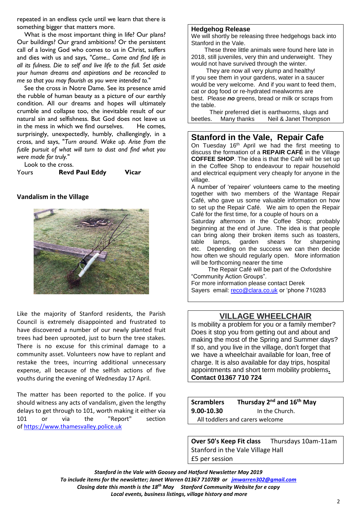repeated in an endless cycle until we learn that there is something bigger that matters more.

What is the most important thing in life? Our plans? Our buildings? Our grand ambitions? Or the persistent call of a loving God who comes to us in Christ, suffers and dies with us and says, *"Come... Come and find life in all its fulness. Die to self and live life to the full. Set aside your human dreams and aspirations and be reconciled to me so that you may flourish as you were intended to."*

 See the cross in Notre Dame. See its presence amid the rubble of human beauty as a picture of our earthly condition. All our dreams and hopes will ultimately crumble and collapse too, the inevitable result of our natural sin and selfishness. But God does not leave us in the mess in which we find ourselves. He comes, surprisingly, unexpectedly, humbly, challengingly, in a cross, and says, "*Turn around. Wake up. Arise from the futile pursuit of what will turn to dust and find what you were made for truly."*

Look to the cross.

Yours **Revd Paul Eddy Vicar**

#### **Vandalism in the Village**



Like the majority of Stanford residents, the Parish Council is extremely disappointed and frustrated to have discovered a number of our newly planted fruit trees had been uprooted, just to burn the tree stakes. There is no excuse for this criminal damage to a community asset. Volunteers now have to replant and restake the trees, incurring additional unnecessary expense, all because of the selfish actions of five youths during the evening of Wednesday 17 April.

The matter has been reported to the police. If you should witness any acts of vandalism, given the lengthy delays to get through to 101, worth making it either via 101 or via the "Report" section of [https://www.thamesvalley.police.uk](https://www.thamesvalley.police.uk/)

#### **Hedgehog Release**

We will shortly be releasing three hedgehogs back into Stanford in the Vale.

 These three little animals were found here late in 2018, still juveniles, very thin and underweight. They would not have survived through the winter.

 They are now all very plump and healthy! If you see them in your gardens, water in a saucer would be very welcome. And if you want to feed them, cat or dog food or re-hydrated mealworms are best. Please *no* greens, bread or milk or scraps from the table.

 Their preferred diet is earthworms, slugs and beetles. Many thanks Neil & Janet Thompson

#### **Stanford in the Vale, Repair Cafe**

On Tuesday 16<sup>th</sup> April we had the first meeting to discuss the formation of a **REPAIR CAFÉ** in the Village **COFFEE SHOP**. The idea is that the Café will be set up in the Coffee Shop to endeavour to repair household and electrical equipment very cheaply for anyone in the village.

A number of 'repairer' volunteers came to the meeting together with two members of the Wantage Repair Café, who gave us some valuable information on how to set up the Repair Café. We aim to open the Repair Café for the first time, for a couple of hours on a

Saturday afternoon in the Coffee Shop; probably beginning at the end of June. The idea is that people can bring along their broken items such as toasters, table lamps, garden shears for sharpening etc. Depending on the success we can then decide how often we should regularly open. More information will be forthcoming nearer the time

 The Repair Café will be part of the Oxfordshire "Community Action Groups".

For more information please contact Derek Sayers email: [reco@clara.co.uk](mailto:reco@clara.co.uk) or 'phone 710283

## **VILLAGE WHEELCHAIR**

Is mobility a problem for you or a family member? Does it stop you from getting out and about and making the most of the Spring and Summer days? If so, and you live in the village, don't forget that we have a wheelchair available for loan, free of charge. It is also available for day trips, hospital appointments and short term mobility problems**. Contact 01367 710 724**

Scramblers Thursday 2<sup>nd</sup> and 16<sup>th</sup> May **9.00-10.30** In the Church. All toddlers and carers welcome

**Over 50's Keep Fit class** Thursdays 10am-11am Stanford in the Vale Village Hall £5 per session

*Stanford in the Vale with Goosey and Hatford Newsletter May 2019 To include items for the newsletter; Janet Warren 01367 710789 or [jmwarren302@gmail.com](mailto:jmwarren302@gmail.com) Closing date this month is the 18th May Stanford Community Website for e copy Local events, business listings, village history and more*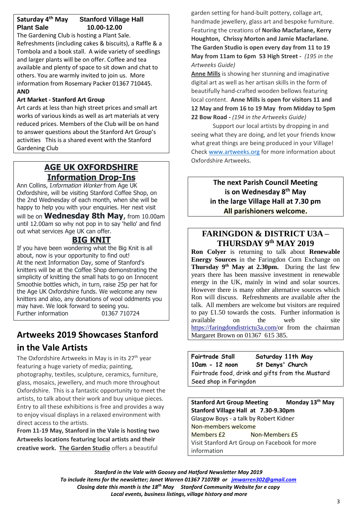### **Saturday 4th May Stanford Village Hall Plant Sale 10.00-12.00**

The Gardening Club is hosting a Plant Sale. Refreshments (including cakes & biscuits), a Raffle & a Tombola and a book stall. A wide variety of seedlings and larger plants will be on offer. Coffee and tea available and plenty of space to sit down and chat to others. You are warmly invited to join us. More information from Rosemary Packer 01367 710445. **AND**

#### **Art Market - Stanford Art Group**

Art cards at less than high street prices and small art works of various kinds as well as art materials at very reduced prices. Members of the Club will be on hand to answer questions about the Stanford Art Group's activities This is a shared event with the Stanford Gardening Club

## **AGE UK OXFORDSHIRE Information Drop-Ins**

Ann Collins, Information Worker from Age UK Oxfordshire, will be visiting Stanford Coffee Shop, on the 2nd Wednesday of each month, when she will be happy to help you with your enquiries. Her next visit will be on **Wednesday 8th May**, from 10.00am until 12.00am so why not pop in to say 'hello' and find out what services Age UK can offer.

## **BIG KNIT**

If you have been wondering what the Big Knit is all about, now is your opportunity to find out! At the next Information Day, some of Stanford's knitters will be at the Coffee Shop demonstrating the simplicity of knitting the small hats to go on Innocent Smoothie bottles which, in turn, raise 25p per hat for the Age UK Oxfordshire funds. We welcome any new knitters and also, any donations of wool oddments you may have. We look forward to seeing you. Further information 01367 710724

# **Artweeks 2019 Showcases Stanford in the Vale Artists**

The Oxfordshire Artweeks in May is in its 27<sup>th</sup> year featuring a huge variety of media; painting, photography, textiles, sculpture, ceramics, furniture, glass, mosaics, jewellery, and much more throughout Oxfordshire. This is a fantastic opportunity to meet the artists, to talk about their work and buy unique pieces. Entry to all these exhibitions is free and provides a way to enjoy visual displays in a relaxed environment with direct access to the artists.

**From 11-19 May, Stanford in the Vale is hosting two Artweeks locations featuring local artists and their creative work. The Garden Studio** offers a beautiful

garden setting for hand-built pottery, collage art, handmade jewellery, glass art and bespoke furniture. Featuring the creations of **Noriko Macfarlane, Kerry Houghton, Chrissy Morton and Jamie Macfarlane. The Garden Studio is open every day from 11 to 19 May from 11am to 6pm 53 High Street -** *(195 in the Artweeks Guide)*

**Anne Mills** is showing her stunning and imaginative digital art as well as her artisan skills in the form of beautifully hand-crafted wooden bellows featuring local content. **Anne Mills is open for visitors 11 and 12 May and from 16 to 19 May from Midday to 5pm 22 Bow Road -** *(194 in the Artweeks Guide)*

Support our local artists by dropping in and seeing what they are doing, and let your friends know what great things are being produced in your Village! Check [www.artweeks.org](http://www.artweeks.org/) for more information about Oxfordshire Artweeks.

> **The next Parish Council Meeting is on Wednesday 8 th May in the large Village Hall at 7.30 pm All parishioners welcome.**

## **FARINGDON & DISTRICT U3A – THURSDAY 9 th MAY 2019**

**Ron Colyer** is returning to talk about **Renewable Energy Sources** in the Faringdon Corn Exchange on **Thursday 9th May at 2.30pm.** During the last few years there has been massive investment in renewable energy in the UK, mainly in wind and solar sources. However there is many other alternative sources which Ron will discuss. Refreshments are available after the talk. All members are welcome but visitors are required to pay £1.50 towards the costs. Further information is available on the web site [https://faringdondistrictu3a.com/o](https://faringdondistrictu3a.com/)r from the chairman Margaret Brown on 01367 615 385.

**Fairtrade Stall Saturday 11th May 10am - 12 noon St Denys' Church** Fairtrade food, drink and gifts from the Mustard Seed shop in Faringdon

**Stanford Art Group Meeting Monday 13th May Stanford Village Hall at 7.30-9.30pm** Glasgow Boys - a talk by Robert Kidner Non-members welcome Members £2 Non-Members £5 Visit Stanford Art Group on Facebook for more information

*Stanford in the Vale with Goosey and Hatford Newsletter May 2019 To include items for the newsletter; Janet Warren 01367 710789 or [jmwarren302@gmail.com](mailto:jmwarren302@gmail.com) Closing date this month is the 18th May Stanford Community Website for e copy Local events, business listings, village history and more*